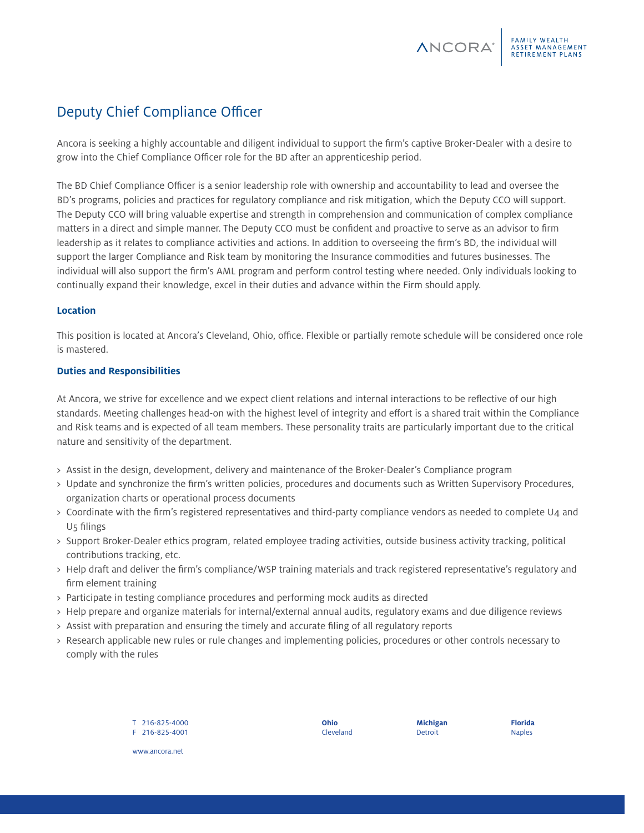# Deputy Chief Compliance Officer

Ancora is seeking a highly accountable and diligent individual to support the firm's captive Broker-Dealer with a desire to grow into the Chief Compliance Officer role for the BD after an apprenticeship period.

The BD Chief Compliance Officer is a senior leadership role with ownership and accountability to lead and oversee the BD's programs, policies and practices for regulatory compliance and risk mitigation, which the Deputy CCO will support. The Deputy CCO will bring valuable expertise and strength in comprehension and communication of complex compliance matters in a direct and simple manner. The Deputy CCO must be confident and proactive to serve as an advisor to firm leadership as it relates to compliance activities and actions. In addition to overseeing the firm's BD, the individual will support the larger Compliance and Risk team by monitoring the Insurance commodities and futures businesses. The individual will also support the firm's AML program and perform control testing where needed. Only individuals looking to continually expand their knowledge, excel in their duties and advance within the Firm should apply.

# **Location**

This position is located at Ancora's Cleveland, Ohio, office. Flexible or partially remote schedule will be considered once role is mastered.

# **Duties and Responsibilities**

At Ancora, we strive for excellence and we expect client relations and internal interactions to be reflective of our high standards. Meeting challenges head-on with the highest level of integrity and effort is a shared trait within the Compliance and Risk teams and is expected of all team members. These personality traits are particularly important due to the critical nature and sensitivity of the department.

- > Assist in the design, development, delivery and maintenance of the Broker-Dealer's Compliance program
- > Update and synchronize the firm's written policies, procedures and documents such as Written Supervisory Procedures, organization charts or operational process documents
- > Coordinate with the firm's registered representatives and third-party compliance vendors as needed to complete U4 and U5 filings
- > Support Broker-Dealer ethics program, related employee trading activities, outside business activity tracking, political contributions tracking, etc.
- > Help draft and deliver the firm's compliance/WSP training materials and track registered representative's regulatory and firm element training
- > Participate in testing compliance procedures and performing mock audits as directed
- > Help prepare and organize materials for internal/external annual audits, regulatory exams and due diligence reviews
- > Assist with preparation and ensuring the timely and accurate filing of all regulatory reports
- > Research applicable new rules or rule changes and implementing policies, procedures or other controls necessary to comply with the rules

T 216-825-4000 F 216-825-4001 **Ohio** Cleveland **Michigan** Detroit

**Florida** Naples

www.ancora.net